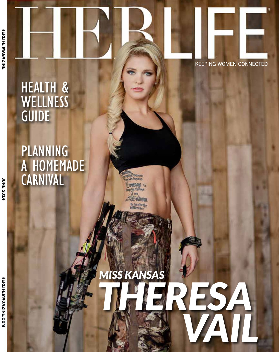### HEALTH & **WELLNESS** GUIDE

## PLANNING A HOMEMADE **CARNIVAL**

**KEEPING WOMEN CONNECTED** 

# *THERESA VAIL MISS KANSAS*

te husbeth **bifference**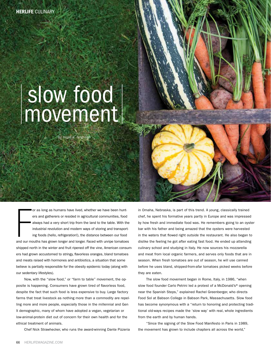## slow food movement

by hope e. ferguson

or as long as humans have lived, whether we have been hunters and gatherers or resided in agricultural communities, food always had a very short trip from the land to the table. With the industrial revolution and modern wa or as long as humans have lived, whether we have been hunters and gatherers or resided in agricultural communities, food always had a very short trip from the land to the table. With the industrial revolution and modern ways of storing and transporting foods (hello, refrigeration!), the distance between our food shipped north in the winter and fruit ripened off the vine, American consumers had grown accustomed to stringy, flavorless oranges, bland tomatoes and meats raised with hormones and antibiotics, a situation that some believe is partially responsible for the obesity epidemic today (along with our sedentary lifestyles).

Now, with the "slow food," or "farm to table" movement, the opposite is happening. Consumers have grown tired of flavorless food, despite the fact that such food is less expensive to buy. Large factory farms that treat livestock as nothing more than a commodity are repelling more and more people, especially those in the millennial and Gen X demographic, many of whom have adopted a vegan, vegetarian or low-animal-protein diet out of concern for their own health and for the ethical treatment of animals.

Chef Nick Strawhecker, who runs the award-winning Dante Pizzeria

in Omaha, Nebraska, is part of this trend. A young, classically trained chef, he spent his formative years partly in Europe and was impressed by how fresh and immediate food was. He remembers going to an oyster bar with his father and being amazed that the oysters were harvested in the waters that flowed right outside the restaurant. He also began to dislike the feeling he got after eating fast food. He ended up attending culinary school and studying in Italy. He now sources his mozzarella and meat from local organic farmers, and serves only foods that are in season. When fresh tomatoes are out of season, he will use canned before he uses bland, shipped-from-afar tomatoes picked weeks before they are eaten.

The slow food movement began in Rome, Italy, in 1986, "when slow food founder Carlo Petrini led a protest of a McDonald's® opening near the Spanish Steps," explained Rachel Greenberger, who directs Food Sol at Babson College in Babson Park, Massachusetts. Slow food has become synonymous with a "return to honoring and protecting traditional old-ways recipes made the 'slow way' with real, whole ingredients from the earth and by human hands.

"Since the signing of the Slow Food Manifesto in Paris in 1989, the movement has grown to include chapters all across the world,"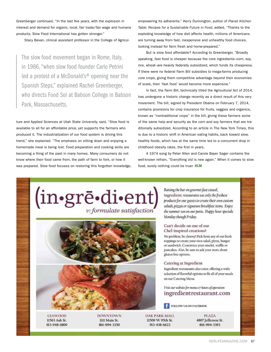Greenberger continued. "In the last five years, with the explosion in interest and demand for organic, local, fair trade/fair wage and humane products, Slow Food International has gotten stronger."

Stacy Bevan, clinical assistant professor in the College of Agricul-

The slow food movement began in Rome, Italy, in 1986, "when slow food founder Carlo Petrini led a protest of a McDonald's® opening near the Spanish Steps," explained Rachel Greenberger, who directs Food Sol at Babson College in Babson Park, Massachusetts.

ture and Applied Sciences at Utah State University, said, "Slow food is available to all for an affordable price, yet supports the farmers who produced it. The industrialization of our food system is driving this trend," she explained. "The emphasis on sitting down and enjoying a homemade meal is being lost. Food preparation and cooking skills are becoming a thing of the past in many homes. Many consumers do not know where their food came from, the path of farm to fork, or how it was prepared. Slow food focuses on restoring this forgotten knowledge, empowering its adherents." Kerry Dunnington, author of *Planet Kitchen Table: Recipes for a Sustainable Future in Food*, added, "Thanks to the exploding knowledge of how diet affects health, millions of Americans are turning away from fast, inexpensive and unhealthy food choices, looking instead for farm fresh and home-prepared."

But is slow food affordable? According to Greenberger, "Broadly speaking, fast food is cheaper because the core ingredients–corn, soy, rice, wheat–are heavily federally subsidized, which funds its cheapness. If there were no federal Farm Bill subsidies to mega-farms producing core crops, giving them competitive advantage beyond their economies of scale, then 'fast food' would become more expensive."

In fact, the Farm Bill, technically titled the Agricultural Act of 2014, has undergone a historic change recently as a direct result of this very movement. The bill, signed by President Obama on February 7, 2014, contains provisions for crop insurance for fruits, veggies and organics, known as "nontraditional crops" in the bill, giving these farmers some of the same help and security as the corn and soy farmers that are traditionally subsidized. According to an article in The New York Times, this is due to a historic shift in American eating habits, back toward slow, healthy foods, which has at the same time led to a concurrent drop in childhood obesity rates, the first in years.

A 1974 song by Peter Allen and Carole Bayer Sager contains the well-known refrain, "Everything old is new again." When it comes to slow food, surely nothing could be truer. HLM





**LEAWOOD** 11563 Ash St. 913-948-6800 **DOWNTOWN** IIII Main St. 816-994-3350

Raising the bar on gourmet fast casual, ingredient restaurants use only the freshest products for our guests to create their own custom salads, pizzas or signature breakfast items. Enjoy the summer sun on our patio. Happy hour specials Monday though Friday.

#### Can't decide on one of our Chef-inspired creations?

No problem, be choosy! Pick from any of our fresh toppings to create your own salad, pizza, burger or sandwich. Customize your omelet, waffle or pancakes. Also, be sure to ask your store about gluten free options.

#### Catering at Ingredient

Ingredient restaurants also cater, offering a wide selection of flavorful options to fit all of your needs on our Catering Menu.

Visit our website for menus co hours of operation: ingredientrestaurant.com

FOLLOW US ON FACEBOOK

OAK PARK MALL 11509 W 95th St. 913-438-6622

PLAZA 4807 Jefferson St. 816-994-3393